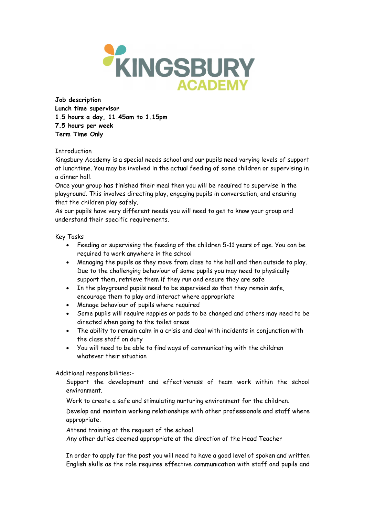

Job description Lunch time supervisor 1.5 hours a day, 11.45am to 1.15pm 7.5 hours per week Term Time Only

## **Introduction**

Kingsbury Academy is a special needs school and our pupils need varying levels of support at lunchtime. You may be involved in the actual feeding of some children or supervising in a dinner hall.

Once your group has finished their meal then you will be required to supervise in the playground. This involves directing play, engaging pupils in conversation, and ensuring that the children play safely.

As our pupils have very different needs you will need to get to know your group and understand their specific requirements.

## Key Tasks

- Feeding or supervising the feeding of the children 5-11 years of age. You can be required to work anywhere in the school
- Managing the pupils as they move from class to the hall and then outside to play. Due to the challenging behaviour of some pupils you may need to physically support them, retrieve them if they run and ensure they are safe
- In the playground pupils need to be supervised so that they remain safe, encourage them to play and interact where appropriate
- Manage behaviour of pupils where required
- Some pupils will require nappies or pads to be changed and others may need to be directed when going to the toilet areas
- The ability to remain calm in a crisis and deal with incidents in conjunction with the class staff on duty
- You will need to be able to find ways of communicating with the children whatever their situation

Additional responsibilities:-

Support the development and effectiveness of team work within the school environment.

Work to create a safe and stimulating nurturing environment for the children.

Develop and maintain working relationships with other professionals and staff where appropriate.

Attend training at the request of the school.

Any other duties deemed appropriate at the direction of the Head Teacher

In order to apply for the post you will need to have a good level of spoken and written English skills as the role requires effective communication with staff and pupils and